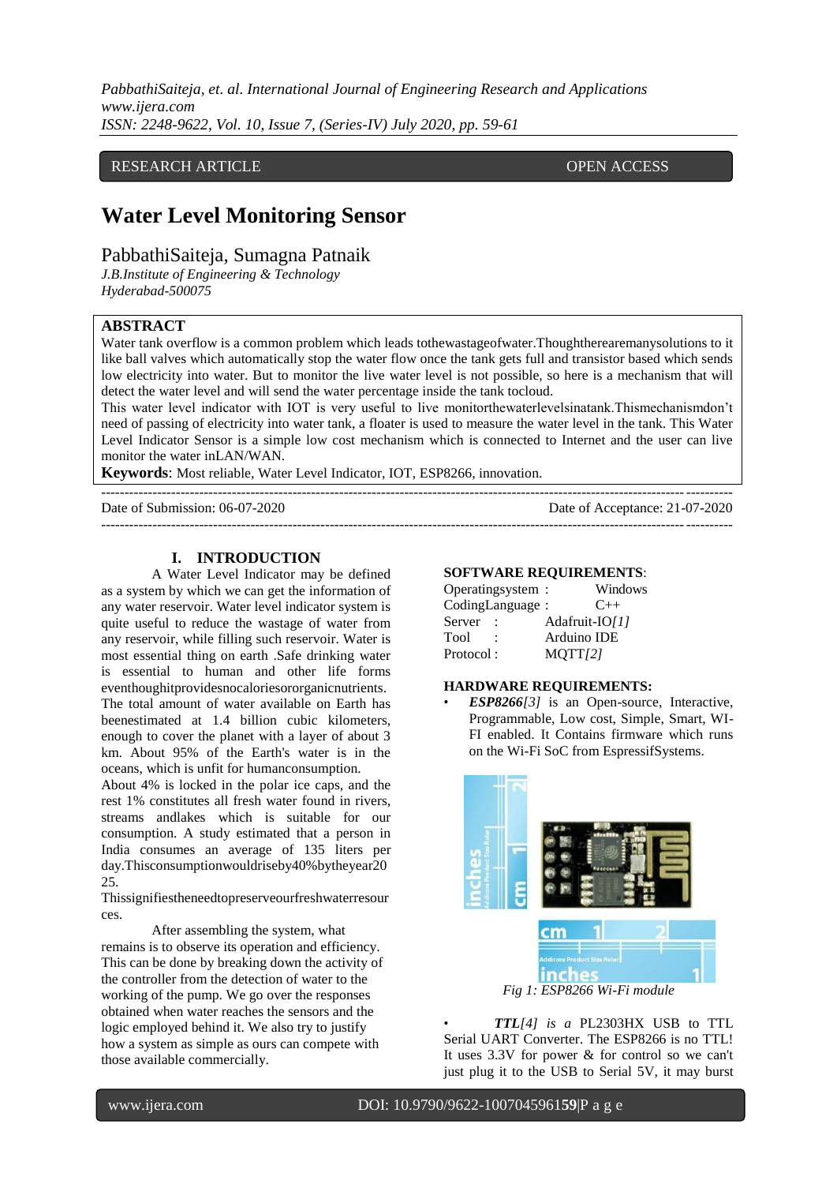*PabbathiSaiteja, et. al. International Journal of Engineering Research and Applications www.ijera.com ISSN: 2248-9622, Vol. 10, Issue 7, (Series-IV) July 2020, pp. 59-61*

#### RESEARCH ARTICLE **CONSERVANCESS** OPEN ACCESS

## **Water Level Monitoring Sensor**

### PabbathiSaiteja, Sumagna Patnaik

*J.B.Institute of Engineering & Technology Hyderabad-500075*

#### **ABSTRACT**

Water tank overflow is a common problem which leads tothewastageofwater.Thoughtherearemanysolutions to it like ball valves which automatically stop the water flow once the tank gets full and transistor based which sends low electricity into water. But to monitor the live water level is not possible, so here is a mechanism that will detect the water level and will send the water percentage inside the tank tocloud.

This water level indicator with IOT is very useful to live monitorthewaterlevelsinatank.Thismechanismdon't need of passing of electricity into water tank, a floater is used to measure the water level in the tank. This Water Level Indicator Sensor is a simple low cost mechanism which is connected to Internet and the user can live monitor the water inLAN/WAN.

---------------------------------------------------------------------------------------------------------------------------------------

**Keywords**: Most reliable, Water Level Indicator, IOT, ESP8266, innovation.

--------------------------------------------------------------------------------------------------------------------------------------- Date of Submission: 06-07-2020 Date of Acceptance: 21-07-2020

# **I. INTRODUCTION**

A Water Level Indicator may be defined as a system by which we can get the information of any water reservoir. Water level indicator system is quite useful to reduce the wastage of water from any reservoir, while filling such reservoir. Water is most essential thing on earth .Safe drinking water is essential to human and other life forms eventhoughitprovidesnocaloriesororganicnutrients. The total amount of water available on Earth has beenestimated at 1.4 billion cubic kilometers, enough to cover the planet with a layer of about 3 km. About 95% of the Earth's water is in the oceans, which is unfit for humanconsumption.

About 4% is locked in the polar ice caps, and the rest 1% constitutes all fresh water found in rivers, streams andlakes which is suitable for our consumption. A study estimated that a person in India consumes an average of 135 liters per day.Thisconsumptionwouldriseby40%bytheyear20 25.

Thissignifiestheneedtopreserveourfreshwaterresour ces.

After assembling the system, what remains is to observe its operation and efficiency. This can be done by breaking down the activity of the controller from the detection of water to the working of the pump. We go over the responses obtained when water reaches the sensors and the logic employed behind it. We also try to justify how a system as simple as ours can compete with those available commercially.

#### **SOFTWARE REQUIREMENTS**:

| Operatingsystem : |                | Windows  |
|-------------------|----------------|----------|
| CodingLanguage:   |                | $C_{++}$ |
| Server            | Adafruit-IO/11 |          |
| Tool              | Arduino IDE    |          |
| Protocol:         | MQTT/2         |          |

#### **HARDWARE REQUIREMENTS:**

• *ESP8266[3]* is an Open-source, Interactive, Programmable, Low cost, Simple, Smart, WI-FI enabled. It Contains firmware which runs on the Wi-Fi SoC from EspressifSystems.



• *TTL[4] is a* PL2303HX USB to TTL Serial UART Converter. The ESP8266 is no TTL! It uses 3.3V for power & for control so we can't just plug it to the USB to Serial 5V, it may burst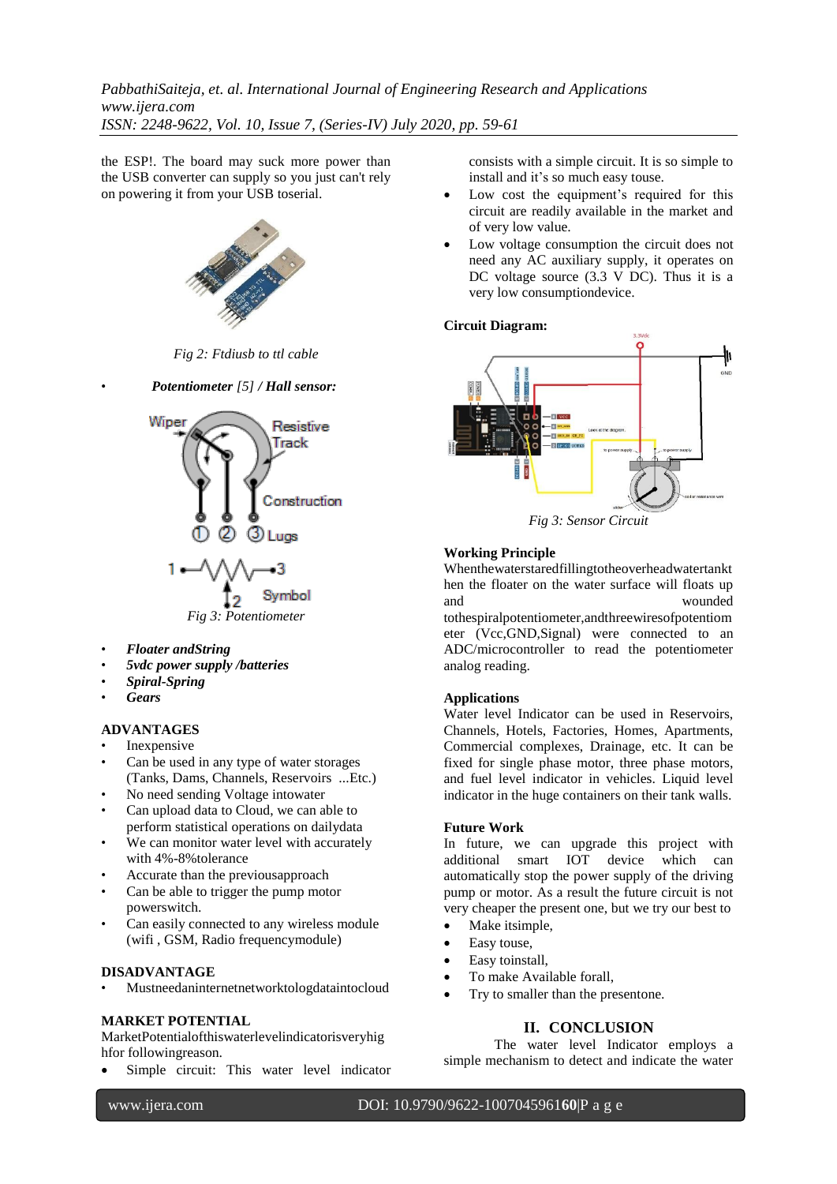*PabbathiSaiteja, et. al. International Journal of Engineering Research and Applications www.ijera.com ISSN: 2248-9622, Vol. 10, Issue 7, (Series-IV) July 2020, pp. 59-61*

the ESP!. The board may suck more power than the USB converter can supply so you just can't rely on powering it from your USB toserial.



*Fig 2: Ftdiusb to ttl cable*

• *Potentiometer [5] / Hall sensor:*

Wiper Resistive Track



- *Floater andString*
- *5vdc power supply /batteries*
- *Spiral-Spring*
- *Gears*

#### **ADVANTAGES**

- **Inexpensive**
- Can be used in any type of water storages (Tanks, Dams, Channels, Reservoirs ...Etc.)
- No need sending Voltage intowater
- Can upload data to Cloud, we can able to perform statistical operations on dailydata
- We can monitor water level with accurately with 4%-8%tolerance
- Accurate than the previousapproach
- Can be able to trigger the pump motor powerswitch.
- Can easily connected to any wireless module (wifi , GSM, Radio frequencymodule)

#### **DISADVANTAGE**

• Mustneedaninternetnetworktologdataintocloud

#### **MARKET POTENTIAL**

MarketPotentialofthiswaterlevelindicatorisveryhig hfor followingreason.

Simple circuit: This water level indicator

consists with a simple circuit. It is so simple to install and it's so much easy touse.

- Low cost the equipment's required for this circuit are readily available in the market and of very low value.
- Low voltage consumption the circuit does not need any AC auxiliary supply, it operates on DC voltage source (3.3 V DC). Thus it is a very low consumptiondevice.

#### **Circuit Diagram:**



*Fig 3: Sensor Circuit*

#### **Working Principle**

Whenthewaterstaredfillingtotheoverheadwatertankt hen the floater on the water surface will floats up and wounded tothespiralpotentiometer,andthreewiresofpotentiom eter (Vcc,GND,Signal) were connected to an ADC/microcontroller to read the potentiometer analog reading.

#### **Applications**

Water level Indicator can be used in Reservoirs, Channels, Hotels, Factories, Homes, Apartments, Commercial complexes, Drainage, etc. It can be fixed for single phase motor, three phase motors, and fuel level indicator in vehicles. Liquid level indicator in the huge containers on their tank walls.

#### **Future Work**

In future, we can upgrade this project with additional smart IOT device which can automatically stop the power supply of the driving pump or motor. As a result the future circuit is not very cheaper the present one, but we try our best to

- Make itsimple,
- Easy touse,
- Easy toinstall,
- To make Available forall,
- Try to smaller than the presentone.

#### **II. CONCLUSION**

The water level Indicator employs a simple mechanism to detect and indicate the water